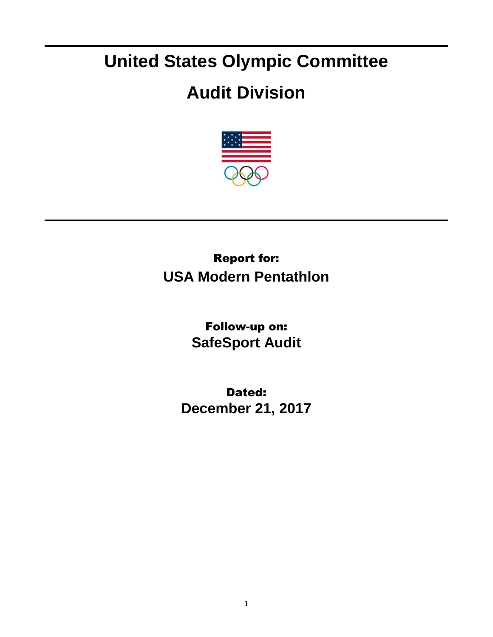## **United States Olympic Committee**

## **Audit Division**



## Report for: **USA Modern Pentathlon**

Follow-up on: **SafeSport Audit**

Dated: **December 21, 2017**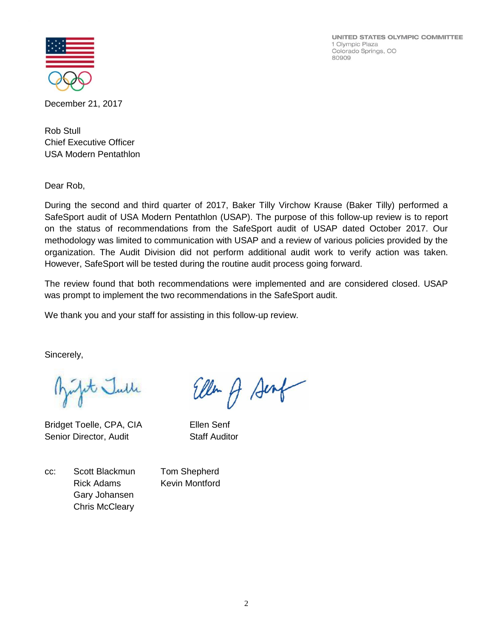UNITED STATES OLYMPIC COMMITTEE 1 Olympic Plaza Colorado Springs, CO 80909



December 21, 2017

Rob Stull Chief Executive Officer USA Modern Pentathlon

Dear Rob,

During the second and third quarter of 2017, Baker Tilly Virchow Krause (Baker Tilly) performed a SafeSport audit of USA Modern Pentathlon (USAP). The purpose of this follow-up review is to report on the status of recommendations from the SafeSport audit of USAP dated October 2017. Our methodology was limited to communication with USAP and a review of various policies provided by the organization. The Audit Division did not perform additional audit work to verify action was taken. However, SafeSport will be tested during the routine audit process going forward.

The review found that both recommendations were implemented and are considered closed. USAP was prompt to implement the two recommendations in the SafeSport audit.

Ellen A Senf

We thank you and your staff for assisting in this follow-up review.

Sincerely,

Julit Julle

Bridget Toelle, CPA, CIA Ellen Senf Senior Director, Audit Staff Auditor

cc: Scott Blackmun Tom Shepherd Rick Adams Kevin Montford Gary Johansen Chris McCleary